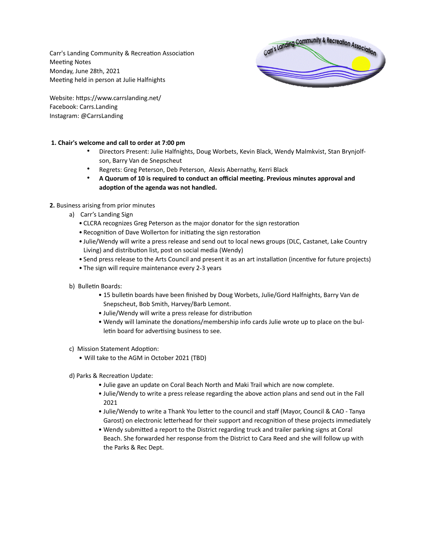Carr's Landing Community & Recreation Association Meeting Notes Monday, June 28th, 2021 Meeting held in person at Julie Halfnights



Website: https://www.carrslanding.net/ Facebook: Carrs.Landing Instagram: @CarrsLanding

# **1. Chair's welcome and call to order at 7:00 pm**

- Directors Present: Julie Halfnights, Doug Worbets, Kevin Black, Wendy Malmkvist, Stan Brynjolfson, Barry Van de Snepscheut
- Regrets: Greg Peterson, Deb Peterson, Alexis Abernathy, Kerri Black
- **A Quorum of 10 is required to conduct an official meeting. Previous minutes approval and adoption of the agenda was not handled.**

# **2.** Business arising from prior minutes

- a) Carr's Landing Sign
	- CLCRA recognizes Greg Peterson as the major donator for the sign restoration
	- Recognition of Dave Wollerton for initiating the sign restoration
	- Julie/Wendy will write a press release and send out to local news groups (DLC, Castanet, Lake Country Living) and distribution list, post on social media (Wendy)
	- Send press release to the Arts Council and present it as an art installation (incentive for future projects)
	- The sign will require maintenance every 2-3 years
- b) Bulletin Boards:
	- 15 bulletin boards have been finished by Doug Worbets, Julie/Gord Halfnights, Barry Van de Snepscheut, Bob Smith, Harvey/Barb Lemont.
	- Julie/Wendy will write a press release for distribution
	- Wendy will laminate the donations/membership info cards Julie wrote up to place on the bulletin board for advertising business to see.
- c) Mission Statement Adoption:
	- Will take to the AGM in October 2021 (TBD)
- d) Parks & Recreation Update:
	- Julie gave an update on Coral Beach North and Maki Trail which are now complete.
	- Julie/Wendy to write a press release regarding the above action plans and send out in the Fall 2021
	- Julie/Wendy to write a Thank You letter to the council and staff (Mayor, Council & CAO Tanya Garost) on electronic letterhead for their support and recognition of these projects immediately
	- Wendy submitted a report to the District regarding truck and trailer parking signs at Coral Beach. She forwarded her response from the District to Cara Reed and she will follow up with the Parks & Rec Dept.